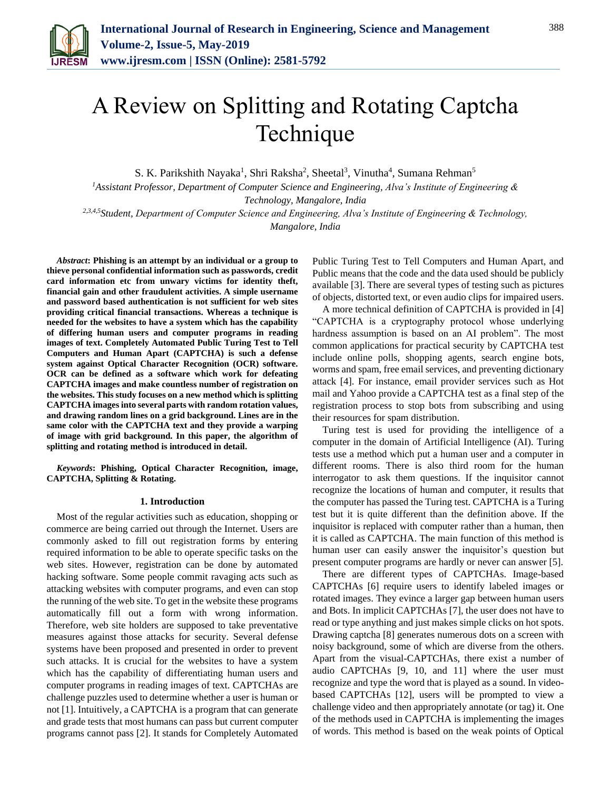

# A Review on Splitting and Rotating Captcha Technique

S. K. Parikshith Nayaka<sup>1</sup>, Shri Raksha<sup>2</sup>, Sheetal<sup>3</sup>, Vinutha<sup>4</sup>, Sumana Rehman<sup>5</sup>

*<sup>1</sup>Assistant Professor, Department of Computer Science and Engineering, Alva's Institute of Engineering & Technology, Mangalore, India*

*2,3,4,5Student, Department of Computer Science and Engineering, Alva's Institute of Engineering & Technology, Mangalore, India*

*Abstract***: Phishing is an attempt by an individual or a group to thieve personal confidential information such as passwords, credit card information etc from unwary victims for identity theft, financial gain and other fraudulent activities. A simple username and password based authentication is not sufficient for web sites providing critical financial transactions. Whereas a technique is needed for the websites to have a system which has the capability of differing human users and computer programs in reading images of text. Completely Automated Public Turing Test to Tell Computers and Human Apart (CAPTCHA) is such a defense system against Optical Character Recognition (OCR) software. OCR can be defined as a software which work for defeating CAPTCHA images and make countless number of registration on the websites. This study focuses on a new method which is splitting CAPTCHA images into several parts with random rotation values, and drawing random lines on a grid background. Lines are in the same color with the CAPTCHA text and they provide a warping of image with grid background. In this paper, the algorithm of splitting and rotating method is introduced in detail.** 

*Keywords***: Phishing, Optical Character Recognition, image, CAPTCHA, Splitting & Rotating.**

#### **1. Introduction**

Most of the regular activities such as education, shopping or commerce are being carried out through the Internet. Users are commonly asked to fill out registration forms by entering required information to be able to operate specific tasks on the web sites. However, registration can be done by automated hacking software. Some people commit ravaging acts such as attacking websites with computer programs, and even can stop the running of the web site. To get in the website these programs automatically fill out a form with wrong information. Therefore, web site holders are supposed to take preventative measures against those attacks for security. Several defense systems have been proposed and presented in order to prevent such attacks. It is crucial for the websites to have a system which has the capability of differentiating human users and computer programs in reading images of text. CAPTCHAs are challenge puzzles used to determine whether a user is human or not [1]. Intuitively, a CAPTCHA is a program that can generate and grade tests that most humans can pass but current computer programs cannot pass [2]. It stands for Completely Automated

Public Turing Test to Tell Computers and Human Apart, and Public means that the code and the data used should be publicly available [3]. There are several types of testing such as pictures of objects, distorted text, or even audio clips for impaired users.

A more technical definition of CAPTCHA is provided in [4] "CAPTCHA is a cryptography protocol whose underlying hardness assumption is based on an AI problem". The most common applications for practical security by CAPTCHA test include online polls, shopping agents, search engine bots, worms and spam, free email services, and preventing dictionary attack [4]. For instance, email provider services such as Hot mail and Yahoo provide a CAPTCHA test as a final step of the registration process to stop bots from subscribing and using their resources for spam distribution.

Turing test is used for providing the intelligence of a computer in the domain of Artificial Intelligence (AI). Turing tests use a method which put a human user and a computer in different rooms. There is also third room for the human interrogator to ask them questions. If the inquisitor cannot recognize the locations of human and computer, it results that the computer has passed the Turing test. CAPTCHA is a Turing test but it is quite different than the definition above. If the inquisitor is replaced with computer rather than a human, then it is called as CAPTCHA. The main function of this method is human user can easily answer the inquisitor's question but present computer programs are hardly or never can answer [5].

There are different types of CAPTCHAs. Image-based CAPTCHAs [6] require users to identify labeled images or rotated images. They evince a larger gap between human users and Bots. In implicit CAPTCHAs [7], the user does not have to read or type anything and just makes simple clicks on hot spots. Drawing captcha [8] generates numerous dots on a screen with noisy background, some of which are diverse from the others. Apart from the visual-CAPTCHAs, there exist a number of audio CAPTCHAs [9, 10, and 11] where the user must recognize and type the word that is played as a sound. In videobased CAPTCHAs [12], users will be prompted to view a challenge video and then appropriately annotate (or tag) it. One of the methods used in CAPTCHA is implementing the images of words. This method is based on the weak points of Optical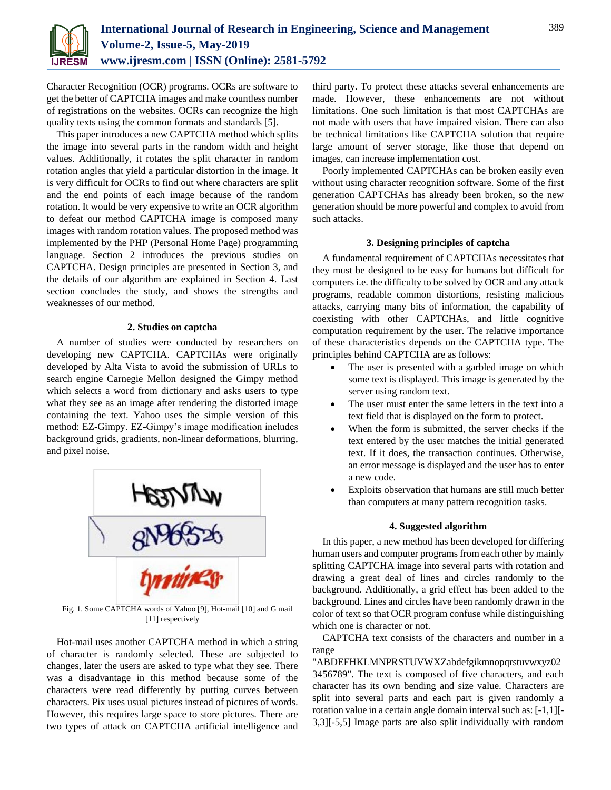

Character Recognition (OCR) programs. OCRs are software to get the better of CAPTCHA images and make countless number of registrations on the websites. OCRs can recognize the high quality texts using the common formats and standards [5].

This paper introduces a new CAPTCHA method which splits the image into several parts in the random width and height values. Additionally, it rotates the split character in random rotation angles that yield a particular distortion in the image. It is very difficult for OCRs to find out where characters are split and the end points of each image because of the random rotation. It would be very expensive to write an OCR algorithm to defeat our method CAPTCHA image is composed many images with random rotation values. The proposed method was implemented by the PHP (Personal Home Page) programming language. Section 2 introduces the previous studies on CAPTCHA. Design principles are presented in Section 3, and the details of our algorithm are explained in Section 4. Last section concludes the study, and shows the strengths and weaknesses of our method.

## **2. Studies on captcha**

A number of studies were conducted by researchers on developing new CAPTCHA. CAPTCHAs were originally developed by Alta Vista to avoid the submission of URLs to search engine Carnegie Mellon designed the Gimpy method which selects a word from dictionary and asks users to type what they see as an image after rendering the distorted image containing the text. Yahoo uses the simple version of this method: EZ-Gimpy. EZ-Gimpy's image modification includes background grids, gradients, non-linear deformations, blurring, and pixel noise.



Fig. 1. Some CAPTCHA words of Yahoo [9], Hot-mail [10] and G mail [11] respectively

Hot-mail uses another CAPTCHA method in which a string of character is randomly selected. These are subjected to changes, later the users are asked to type what they see. There was a disadvantage in this method because some of the characters were read differently by putting curves between characters. Pix uses usual pictures instead of pictures of words. However, this requires large space to store pictures. There are two types of attack on CAPTCHA artificial intelligence and

third party. To protect these attacks several enhancements are made. However, these enhancements are not without limitations. One such limitation is that most CAPTCHAs are not made with users that have impaired vision. There can also be technical limitations like CAPTCHA solution that require large amount of server storage, like those that depend on images, can increase implementation cost.

Poorly implemented CAPTCHAs can be broken easily even without using character recognition software. Some of the first generation CAPTCHAs has already been broken, so the new generation should be more powerful and complex to avoid from such attacks.

#### **3. Designing principles of captcha**

A fundamental requirement of CAPTCHAs necessitates that they must be designed to be easy for humans but difficult for computers i.e. the difficulty to be solved by OCR and any attack programs, readable common distortions, resisting malicious attacks, carrying many bits of information, the capability of coexisting with other CAPTCHAs, and little cognitive computation requirement by the user. The relative importance of these characteristics depends on the CAPTCHA type. The principles behind CAPTCHA are as follows:

- The user is presented with a garbled image on which some text is displayed. This image is generated by the server using random text.
- The user must enter the same letters in the text into a text field that is displayed on the form to protect.
- When the form is submitted, the server checks if the text entered by the user matches the initial generated text. If it does, the transaction continues. Otherwise, an error message is displayed and the user has to enter a new code.
- Exploits observation that humans are still much better than computers at many pattern recognition tasks.

### **4. Suggested algorithm**

In this paper, a new method has been developed for differing human users and computer programs from each other by mainly splitting CAPTCHA image into several parts with rotation and drawing a great deal of lines and circles randomly to the background. Additionally, a grid effect has been added to the background. Lines and circles have been randomly drawn in the color of text so that OCR program confuse while distinguishing which one is character or not.

CAPTCHA text consists of the characters and number in a range

"ABDEFHKLMNPRSTUVWXZabdefgikmnopqrstuvwxyz02 3456789". The text is composed of five characters, and each character has its own bending and size value. Characters are split into several parts and each part is given randomly a rotation value in a certain angle domain interval such as: [-1,1][- 3,3][-5,5] Image parts are also split individually with random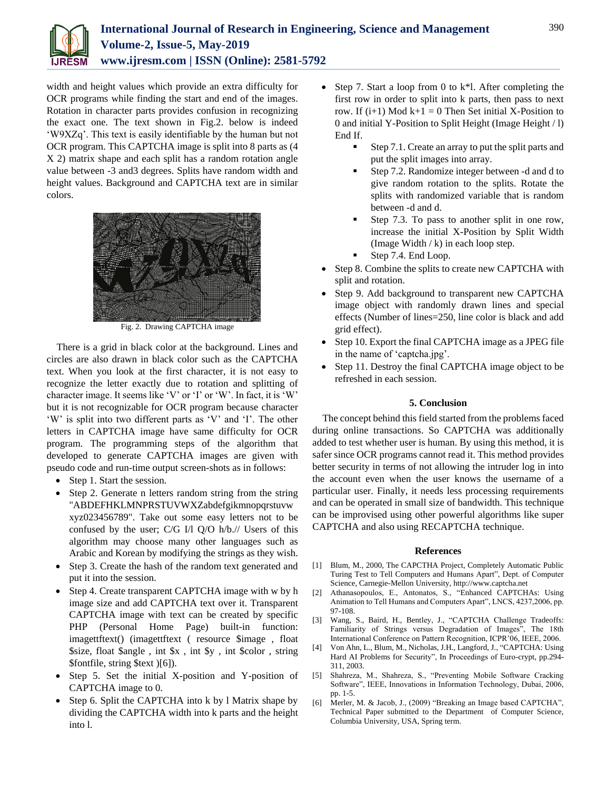

width and height values which provide an extra difficulty for OCR programs while finding the start and end of the images. Rotation in character parts provides confusion in recognizing the exact one. The text shown in Fig.2. below is indeed 'W9XZq'. This text is easily identifiable by the human but not OCR program. This CAPTCHA image is split into 8 parts as (4 X 2) matrix shape and each split has a random rotation angle value between -3 and3 degrees. Splits have random width and height values. Background and CAPTCHA text are in similar colors.



Fig. 2. Drawing CAPTCHA image

There is a grid in black color at the background. Lines and circles are also drawn in black color such as the CAPTCHA text. When you look at the first character, it is not easy to recognize the letter exactly due to rotation and splitting of character image. It seems like 'V' or 'I' or 'W'. In fact, it is 'W' but it is not recognizable for OCR program because character 'W' is split into two different parts as 'V' and 'I'. The other letters in CAPTCHA image have same difficulty for OCR program. The programming steps of the algorithm that developed to generate CAPTCHA images are given with pseudo code and run-time output screen-shots as in follows:

- Step 1. Start the session.
- Step 2. Generate n letters random string from the string "ABDEFHKLMNPRSTUVWXZabdefgikmnopqrstuvw xyz023456789". Take out some easy letters not to be confused by the user; C/G I/l Q/O h/b.// Users of this algorithm may choose many other languages such as Arabic and Korean by modifying the strings as they wish.
- Step 3. Create the hash of the random text generated and put it into the session.
- Step 4. Create transparent CAPTCHA image with w by h image size and add CAPTCHA text over it. Transparent CAPTCHA image with text can be created by specific PHP (Personal Home Page) built-in function: imagettftext() (imagettftext ( resource \$image , float \$size, float \$angle , int \$x , int \$y , int \$color , string \$fontfile, string \$text )[6]).
- Step 5. Set the initial X-position and Y-position of CAPTCHA image to 0.
- Step 6. Split the CAPTCHA into k by 1 Matrix shape by dividing the CAPTCHA width into k parts and the height into l.
- Step 7. Start a loop from 0 to  $k^*$ l. After completing the first row in order to split into k parts, then pass to next row. If  $(i+1)$  Mod  $k+1 = 0$  Then Set initial X-Position to 0 and initial Y-Position to Split Height (Image Height / l) End If.
	- Step 7.1. Create an array to put the split parts and put the split images into array.
	- Step 7.2. Randomize integer between -d and d to give random rotation to the splits. Rotate the splits with randomized variable that is random between -d and d.
	- Step 7.3. To pass to another split in one row, increase the initial X-Position by Split Width (Image Width  $/k$ ) in each loop step.
	- Step 7.4. End Loop.
- Step 8. Combine the splits to create new CAPTCHA with split and rotation.
- Step 9. Add background to transparent new CAPTCHA image object with randomly drawn lines and special effects (Number of lines=250, line color is black and add grid effect).
- Step 10. Export the final CAPTCHA image as a JPEG file in the name of 'captcha.jpg'.
- Step 11. Destroy the final CAPTCHA image object to be refreshed in each session.

## **5. Conclusion**

The concept behind this field started from the problems faced during online transactions. So CAPTCHA was additionally added to test whether user is human. By using this method, it is safer since OCR programs cannot read it. This method provides better security in terms of not allowing the intruder log in into the account even when the user knows the username of a particular user. Finally, it needs less processing requirements and can be operated in small size of bandwidth. This technique can be improvised using other powerful algorithms like super CAPTCHA and also using RECAPTCHA technique.

### **References**

- [1] Blum, M., 2000, The CAPCTHA Project, Completely Automatic Public Turing Test to Tell Computers and Humans Apart", Dept. of Computer Science, Carnegie-Mellon University, http://www.captcha.net
- [2] Athanasopoulos, E., Antonatos, S., "Enhanced CAPTCHAs: Using Animation to Tell Humans and Computers Apart", LNCS, 4237,2006, pp. 97-108.
- [3] Wang, S., Baird, H., Bentley, J., "CAPTCHA Challenge Tradeoffs: Familiarity of Strings versus Degradation of Images", The 18th International Conference on Pattern Recognition, ICPR'06, IEEE, 2006.
- [4] Von Ahn, L., Blum, M., Nicholas, J.H., Langford, J., "CAPTCHA: Using Hard AI Problems for Security", In Proceedings of Euro-crypt, pp.294- 311, 2003.
- [5] Shahreza, M., Shahreza, S., "Preventing Mobile Software Cracking Software", IEEE, Innovations in Information Technology, Dubai, 2006, pp. 1-5.
- [6] Merler, M. & Jacob, J., (2009) "Breaking an Image based CAPTCHA", Technical Paper submitted to the Department of Computer Science, Columbia University, USA, Spring term.